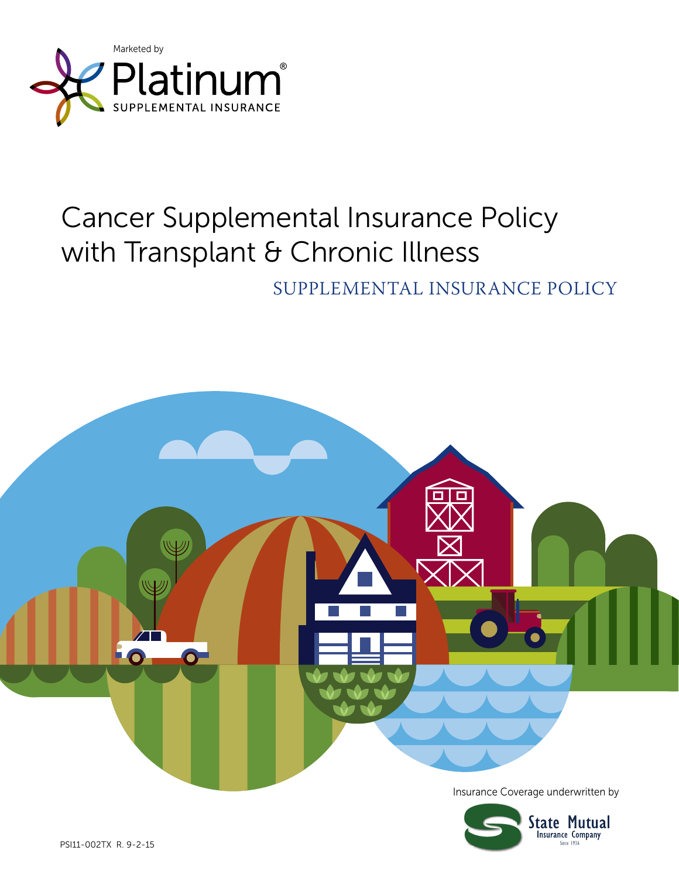

# Cancer Supplemental Insurance Policy with Transplant & Chronic Illness

### SUPPLEMENTAL INSURANCE POLICY

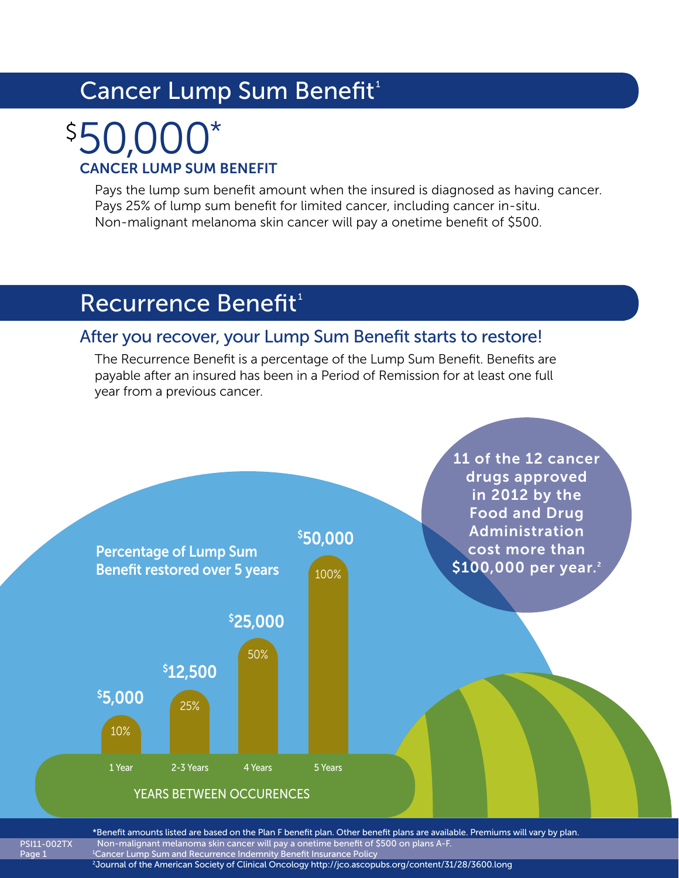# Cancer Lump Sum Benefit<sup>1</sup>

# CANCER LUMP SUM BENEFIT 50,000\* \$

Pays the lump sum benefit amount when the insured is diagnosed as having cancer. Pays 25% of lump sum benefit for limited cancer, including cancer in-situ. Non-malignant melanoma skin cancer will pay a onetime benefit of \$500.

### Recurrence Benefit<sup>1</sup>

Page 1

### After you recover, your Lump Sum Benefit starts to restore!

The Recurrence Benefit is a percentage of the Lump Sum Benefit. Benefits are payable after an insured has been in a Period of Remission for at least one full year from a previous cancer.



PSI11-002TX \*Benefit amounts listed are based on the Plan F benefit plan. Other benefit plans are available. Premiums will vary by plan. Non-malignant melanoma skin cancer will pay a onetime benefit of \$500 on plans A-F. 1 Cancer Lump Sum and Recurrence Indemnity Benefit Insurance Policy 2 Journal of the American Society of Clinical Oncology http://jco.ascopubs.org/content/31/28/3600.long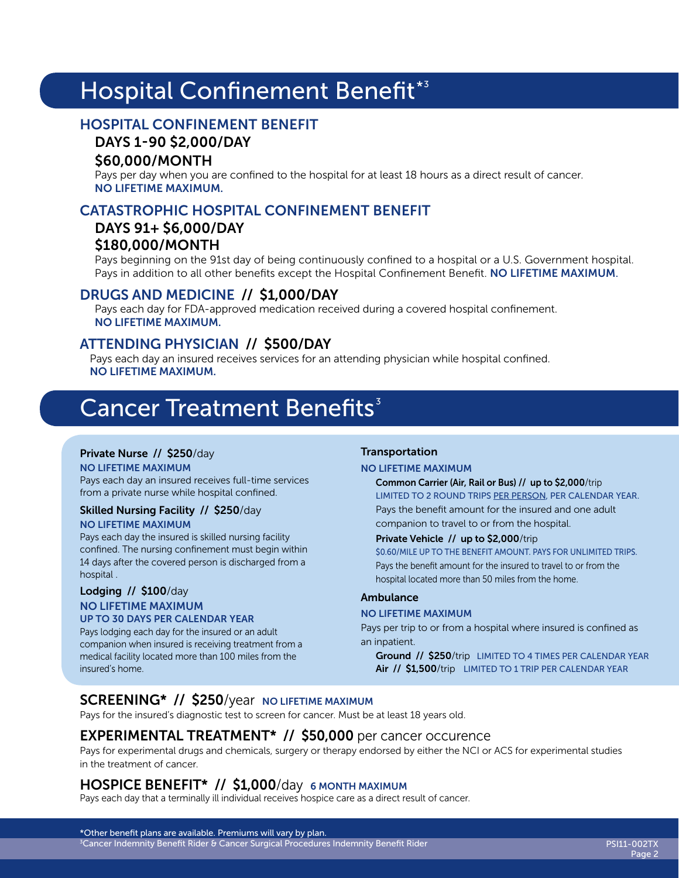# Hospital Confinement Benefit\*3

#### HOSPITAL CONFINEMENT BENEFIT

#### DAYS 1-90 \$2,000/DAY

#### \$60,000/MONTH

Pays per day when you are confined to the hospital for at least 18 hours as a direct result of cancer. NO LIFETIME MAXIMUM.

### CATASTROPHIC HOSPITAL CONFINEMENT BENEFIT

#### DAYS 91+ \$6,000/DAY \$180,000/MONTH

Pays beginning on the 91st day of being continuously confined to a hospital or a U.S. Government hospital. Pays in addition to all other benefits except the Hospital Confinement Benefit. NO LIFETIME MAXIMUM.

#### DRUGS AND MEDICINE // \$1,000/DAY

Pays each day for FDA-approved medication received during a covered hospital confinement. NO LIFETIME MAXIMUM.

#### ATTENDING PHYSICIAN // \$500/DAY

Pays each day an insured receives services for an attending physician while hospital confined. NO LIFETIME MAXIMUM.

### **Cancer Treatment Benefits**<sup>3</sup>

#### Private Nurse // \$250/day

NO LIFETIME MAXIMUM Pays each day an insured receives full-time services from a private nurse while hospital confined.

#### Skilled Nursing Facility // \$250/day NO LIFETIME MAXIMUM

Pays each day the insured is skilled nursing facility confined. The nursing confinement must begin within 14 days after the covered person is discharged from a hospital .

#### Lodging // \$100/day NO LIFETIME MAXIMUM UP TO 30 DAYS PER CALENDAR YEAR

Pays lodging each day for the insured or an adult companion when insured is receiving treatment from a medical facility located more than 100 miles from the insured's home.

#### Transportation

#### NO LIFETIME MAXIMUM

Common Carrier (Air, Rail or Bus) // up to \$2,000/trip LIMITED TO 2 ROUND TRIPS PER PERSON, PER CALENDAR YEAR. Pays the benefit amount for the insured and one adult companion to travel to or from the hospital.

#### Private Vehicle // up to \$2,000/trip

\$0.60/MILE UP TO THE BENEFIT AMOUNT. PAYS FOR UNLIMITED TRIPS. Pays the benefit amount for the insured to travel to or from the hospital located more than 50 miles from the home.

#### Ambulance

#### NO LIFETIME MAXIMUM

Pays per trip to or from a hospital where insured is confined as an inpatient.

Ground // \$250/trip LIMITED TO 4 TIMES PER CALENDAR YEAR Air // \$1,500/trip LIMITED TO 1 TRIP PER CALENDAR YEAR

### SCREENING\* // \$250/year NO LIFETIME MAXIMUM

Pays for the insured's diagnostic test to screen for cancer. Must be at least 18 years old.

#### EXPERIMENTAL TREATMENT\* // \$50,000 per cancer occurence

Pays for experimental drugs and chemicals, surgery or therapy endorsed by either the NCI or ACS for experimental studies in the treatment of cancer.

#### HOSPICE BENEFIT<sup>\*</sup> // \$1,000/day 6 MONTH MAXIMUM

Pays each day that a terminally ill individual receives hospice care as a direct result of cancer.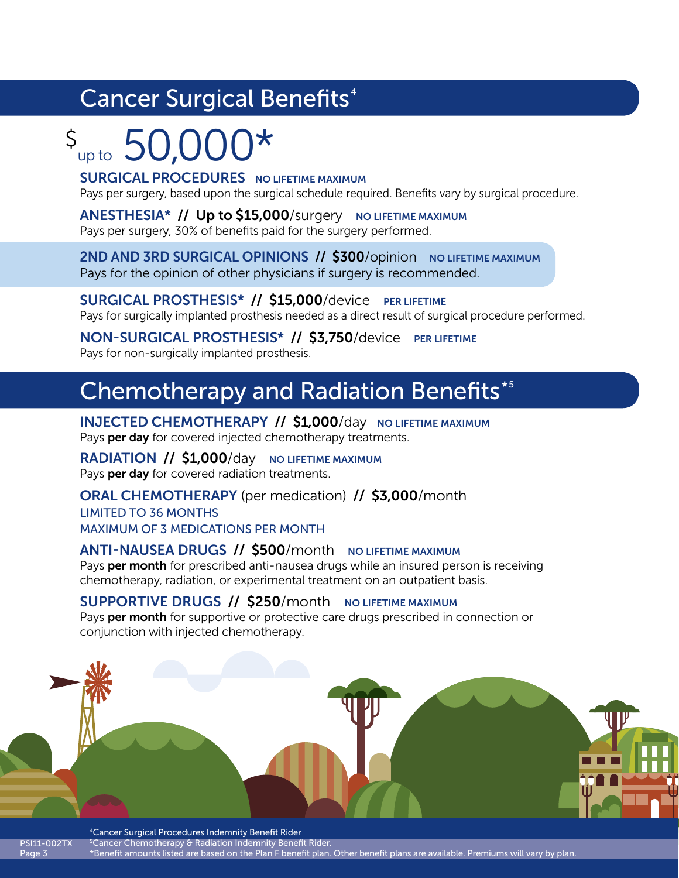# Cancer Surgical Benefits<sup>4</sup>

# $s_{\text{up to}}$  50,000\*

**SURGICAL PROCEDURES** NO LIFETIME MAXIMUM

Pays per surgery, based upon the surgical schedule required. Benefits vary by surgical procedure.

ANESTHESIA\* // Up to \$15,000/surgery NO LIFETIME MAXIMUM Pays per surgery, 30% of benefits paid for the surgery performed.

2ND AND 3RD SURGICAL OPINIONS // \$300/opinion NO LIFETIME MAXIMUM Pays for the opinion of other physicians if surgery is recommended.

SURGICAL PROSTHESIS<sup>\*</sup> // \$15,000/device PER LIFETIME Pays for surgically implanted prosthesis needed as a direct result of surgical procedure performed.

NON-SURGICAL PROSTHESIS\* // \$3,750/device PER LIFETIME Pays for non-surgically implanted prosthesis.

## **Chemotherapy and Radiation Benefits\*5**

INJECTED CHEMOTHERAPY // \$1,000/day NO LIFETIME MAXIMUM Pays per day for covered injected chemotherapy treatments.

RADIATION // \$1,000/day NO LIFETIME MAXIMUM Pays per day for covered radiation treatments.

ORAL CHEMOTHERAPY (per medication) // \$3,000/month LIMITED TO 36 MONTHS MAXIMUM OF 3 MEDICATIONS PER MONTH

### ANTI-NAUSEA DRUGS // \$500/month NO LIFETIME MAXIMUM

Pays per month for prescribed anti-nausea drugs while an insured person is receiving chemotherapy, radiation, or experimental treatment on an outpatient basis.

#### SUPPORTIVE DRUGS // \$250/month NO LIFETIME MAXIMUM

Pays per month for supportive or protective care drugs prescribed in connection or conjunction with injected chemotherapy.



PSI11-002TX Page 3 <sup>5</sup> Cancer Chemotherapy & Radiation Indemnity Benefit Rider. \*Benefit amounts listed are based on the Plan F benefit plan. Other benefit plans are available. Premiums will vary by plan.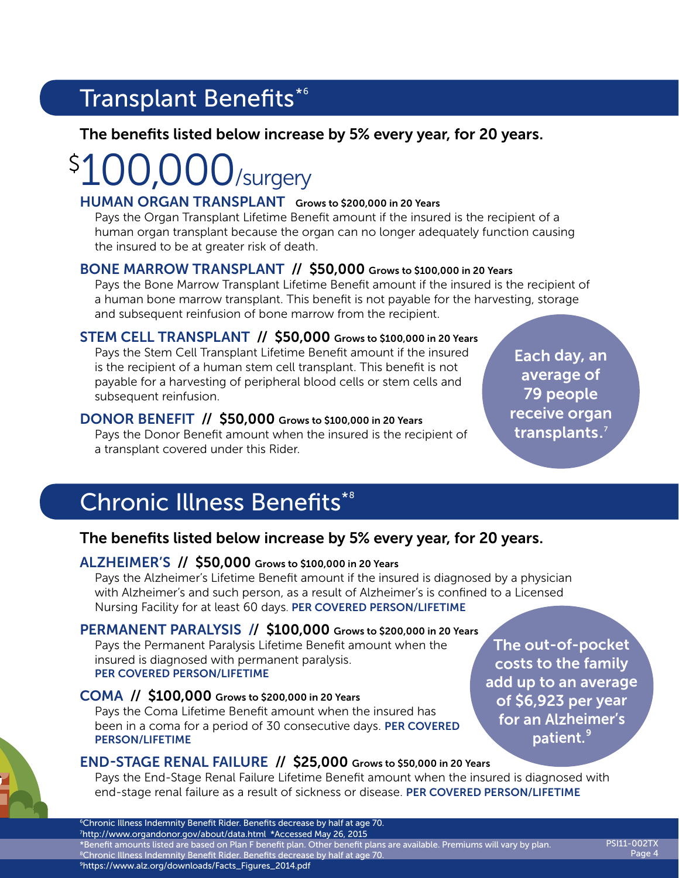# Transplant Benefits\*6

### The benefits listed below increase by 5% every year, for 20 years.

### /surgery  $\boldsymbol{\zeta}$

#### HUMAN ORGAN TRANSPLANT Grows to \$200,000 in 20 Years

Pays the Organ Transplant Lifetime Benefit amount if the insured is the recipient of a human organ transplant because the organ can no longer adequately function causing the insured to be at greater risk of death.

### BONE MARROW TRANSPLANT // \$50,000 Grows to \$100,000 in 20 Years

Pays the Bone Marrow Transplant Lifetime Benefit amount if the insured is the recipient of a human bone marrow transplant. This benefit is not payable for the harvesting, storage and subsequent reinfusion of bone marrow from the recipient.

### STEM CELL TRANSPLANT // \$50,000 Grows to \$100,000 in 20 Years

Pays the Stem Cell Transplant Lifetime Benefit amount if the insured is the recipient of a human stem cell transplant. This benefit is not payable for a harvesting of peripheral blood cells or stem cells and subsequent reinfusion.

### DONOR BENEFIT // \$50,000 Grows to \$100,000 in 20 Years

Pays the Donor Benefit amount when the insured is the recipient of a transplant covered under this Rider.

Each day, an average of 79 people receive organ transplants.<sup>7</sup>

# Chronic Illness Benefits\*<sup>8</sup>

### The benefits listed below increase by 5% every year, for 20 years.

### ALZHEIMER'S // \$50,000 Grows to \$100,000 in 20 Years

Pays the Alzheimer's Lifetime Benefit amount if the insured is diagnosed by a physician with Alzheimer's and such person, as a result of Alzheimer's is confined to a Licensed Nursing Facility for at least 60 days. PER COVERED PERSON/LIFETIME

### PERMANENT PARALYSIS // \$100,000 Grows to \$200,000 in 20 Years

Pays the Permanent Paralysis Lifetime Benefit amount when the insured is diagnosed with permanent paralysis. PER COVERED PERSON/LIFETIME

### COMA // \$100,000 Grows to \$200,000 in 20 Years

Pays the Coma Lifetime Benefit amount when the insured has been in a coma for a period of 30 consecutive days. PER COVERED PERSON/LIFETIME

The out-of-pocket costs to the family add up to an average of \$6,923 per year for an Alzheimer's patient.<sup>9</sup>

### END-STAGE RENAL FAILURE // \$25,000 Grows to \$50,000 in 20 Years

Pays the End-Stage Renal Failure Lifetime Benefit amount when the insured is diagnosed with end-stage renal failure as a result of sickness or disease. PER COVERED PERSON/LIFETIME

PSI11-002TX Page 4

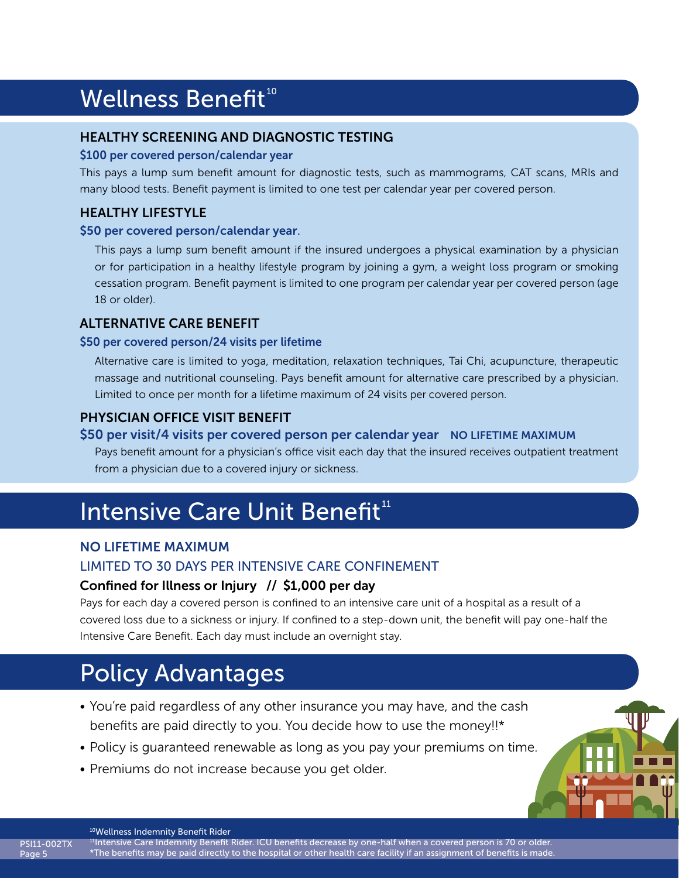# **Wellness Benefit<sup>10</sup>**

#### HEALTHY SCREENING AND DIAGNOSTIC TESTING

#### \$100 per covered person/calendar year

This pays a lump sum benefit amount for diagnostic tests, such as mammograms, CAT scans, MRIs and many blood tests. Benefit payment is limited to one test per calendar year per covered person.

### HEALTHY LIFESTYLE

#### \$50 per covered person/calendar year.

This pays a lump sum benefit amount if the insured undergoes a physical examination by a physician or for participation in a healthy lifestyle program by joining a gym, a weight loss program or smoking cessation program. Benefit payment is limited to one program per calendar year per covered person (age 18 or older).

#### ALTERNATIVE CARE BENEFIT

#### \$50 per covered person/24 visits per lifetime

Alternative care is limited to yoga, meditation, relaxation techniques, Tai Chi, acupuncture, therapeutic massage and nutritional counseling. Pays benefit amount for alternative care prescribed by a physician. Limited to once per month for a lifetime maximum of 24 visits per covered person.

### PHYSICIAN OFFICE VISIT BENEFIT

#### \$50 per visit/4 visits per covered person per calendar year NO LIFETIME MAXIMUM

Pays benefit amount for a physician's office visit each day that the insured receives outpatient treatment from a physician due to a covered injury or sickness.

# Intensive Care Unit Benefit<sup>11</sup>

#### NO LIFETIME MAXIMUM

#### LIMITED TO 30 DAYS PER INTENSIVE CARE CONFINEMENT

#### Confined for Illness or Injury // \$1,000 per day

Pays for each day a covered person is confined to an intensive care unit of a hospital as a result of a covered loss due to a sickness or injury. If confined to a step-down unit, the benefit will pay one-half the Intensive Care Benefit. Each day must include an overnight stay.

# Policy Advantages

- You're paid regardless of any other insurance you may have, and the cash benefits are paid directly to you. You decide how to use the money!!\*
- Policy is guaranteed renewable as long as you pay your premiums on time.
- Premiums do not increase because you get older.



<sup>10</sup>Wellness Indemnity Benefit Rider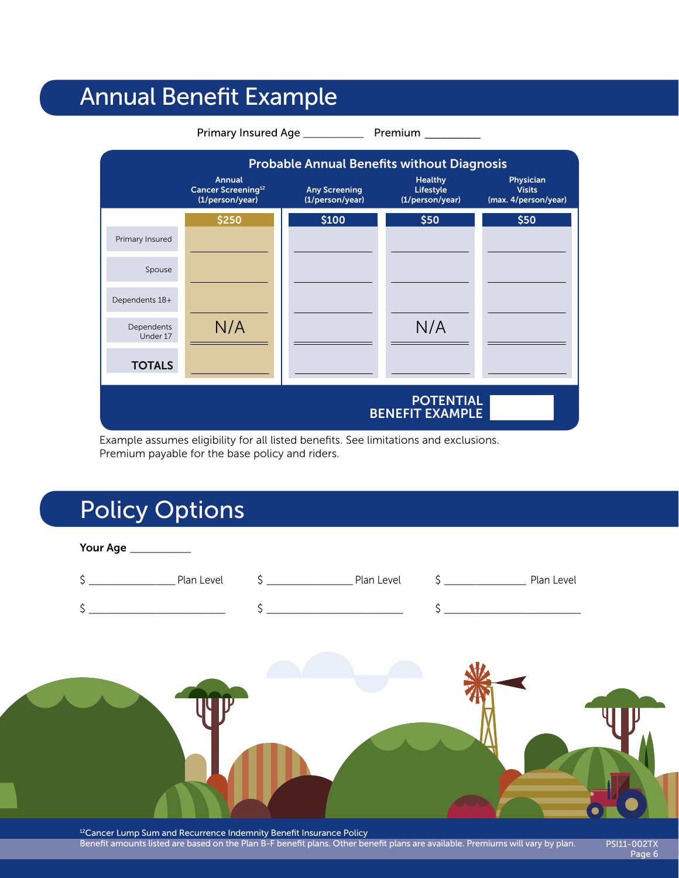# Annual Benefit Example



Example assumes eligibility for all listed benefits. See limitations and exclusions. Premium payable for the base policy and riders.

# Policy Options